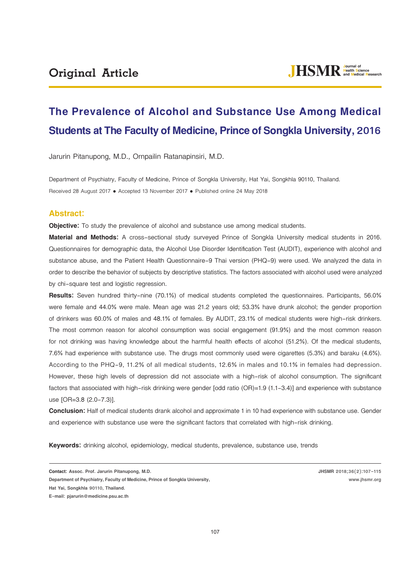# **The Prevalence of Alcohol and Substance Use Among Medical Students at The Faculty of Medicine, Prince of Songkla University, 2016**

Jarurin Pitanupong, M.D., Ornpailin Ratanapinsiri, M.D.

Department of Psychiatry, Faculty of Medicine, Prince of Songkla University, Hat Yai, Songkhla 90110, Thailand. Received 28 August 2017 . Accepted 13 November 2017 . Published online 24 May 2018

# **Abstract:**

**Objective:** To study the prevalence of alcohol and substance use among medical students.

**Material and Methods:** A cross-sectional study surveyed Prince of Songkla University medical students in 2016. Questionnaires for demographic data, the Alcohol Use Disorder Identification Test (AUDIT), experience with alcohol and substance abuse, and the Patient Health Questionnaire-9 Thai version (PHQ-9) were used. We analyzed the data in order to describe the behavior of subjects by descriptive statistics. The factors associated with alcohol used were analyzed by chi-square test and logistic regression.

**Results:** Seven hundred thirty-nine (70.1%) of medical students completed the questionnaires. Participants, 56.0% were female and 44.0% were male. Mean age was 21.2 years old; 53.3% have drunk alcohol; the gender proportion of drinkers was 60.0% of males and 48.1% of females. By AUDIT, 23.1% of medical students were high-risk drinkers. The most common reason for alcohol consumption was social engagement (91.9%) and the most common reason for not drinking was having knowledge about the harmful health effects of alcohol (51.2%). Of the medical students, 7.6% had experience with substance use. The drugs most commonly used were cigarettes (5.3%) and baraku (4.6%). According to the PHQ-9, 11.2% of all medical students, 12.6% in males and 10.1% in females had depression. However, these high levels of depression did not associate with a high-risk of alcohol consumption. The significant factors that associated with high-risk drinking were gender [odd ratio (OR)=1.9 (1.1-3.4)] and experience with substance use [OR=3.8 (2.0-7.3)].

**Conclusion:** Half of medical students drank alcohol and approximate 1 in 10 had experience with substance use. Gender and experience with substance use were the significant factors that correlated with high-risk drinking.

**Keywords:** drinking alcohol, epidemiology, medical students, prevalence, substance use, trends

**JHSMR 2018;36(2):107-115 www.jhsmr.org**

**Contact: Assoc. Prof. Jarurin Pitanupong, M.D.** 

**Department of Psychiatry, Faculty of Medicine, Prince of Songkla University,** 

**Hat Yai, Songkhla 90110, Thailand.** 

**E-mail: pjarurin@medicine.psu.ac.th**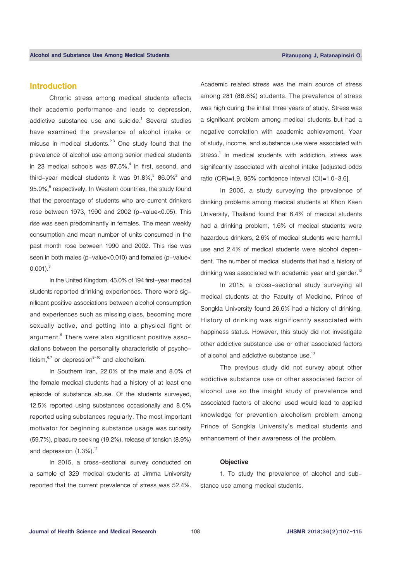# **Introduction**

Chronic stress among medical students affects their academic performance and leads to depression, addictive substance use and suicide. $1$  Several studies have examined the prevalence of alcohol intake or misuse in medical students.<sup>2,3</sup> One study found that the prevalence of alcohol use among senior medical students in 23 medical schools was  $87.5\%$ ,<sup>4</sup> in first, second, and third-year medical students it was  $91.8\%, 586.0\%^2$  and 95.0%,<sup>5</sup> respectively. In Western countries, the study found that the percentage of students who are current drinkers rose between 1973, 1990 and 2002 (p-value<0.05). This rise was seen predominantly in females. The mean weekly consumption and mean number of units consumed in the past month rose between 1990 and 2002. This rise was seen in both males (p-value<0.010) and females (p-value<  $0.001$ ). $3$ 

In the United Kingdom, 45.0% of 194 first-year medical students reported drinking experiences. There were significant positive associations between alcohol consumption and experiences such as missing class, becoming more sexually active, and getting into a physical fight or argument. $^{\rm 6}$  There were also significant positive associations between the personality characteristic of psychoticism. $6,7$  or depression $8-10$  and alcoholism.

In Southern Iran, 22.0% of the male and 8.0% of the female medical students had a history of at least one episode of substance abuse. Of the students surveyed, 12.5% reported using substances occasionally and 8.0% reported using substances regularly. The most important motivator for beginning substance usage was curiosity (59.7%), pleasure seeking (19.2%), release of tension (8.9%) and depression  $(1.3\%)$ .<sup>11</sup>

In 2015, a cross-sectional survey conducted on a sample of 329 medical students at Jimma University reported that the current prevalence of stress was 52.4%.

Academic related stress was the main source of stress among 281 (88.6%) students. The prevalence of stress was high during the initial three years of study. Stress was a significant problem among medical students but had a negative correlation with academic achievement. Year of study, income, and substance use were associated with stress.<sup>1</sup> In medical students with addiction, stress was significantly associated with alcohol intake [adjusted odds ratio (OR)=1.9, 95% confidence interval (CI)=1.0-3.6].

In 2005, a study surveying the prevalence of drinking problems among medical students at Khon Kaen University, Thailand found that 6.4% of medical students had a drinking problem, 1.6% of medical students were hazardous drinkers, 2.6% of medical students were harmful use and 2.4% of medical students were alcohol dependent. The number of medical students that had a history of drinking was associated with academic year and gender.<sup>12</sup>

In 2015, a cross-sectional study surveying all medical students at the Faculty of Medicine, Prince of Songkla University found 26.6% had a history of drinking. History of drinking was significantly associated with happiness status. However, this study did not investigate other addictive substance use or other associated factors of alcohol and addictive substance use.<sup>13</sup>

The previous study did not survey about other addictive substance use or other associated factor of alcohol use so the insight study of prevalence and associated factors of alcohol used would lead to applied knowledge for prevention alcoholism problem among Prince of Songkla University's medical students and enhancement of their awareness of the problem.

#### **Objective**

1. To study the prevalence of alcohol and substance use among medical students.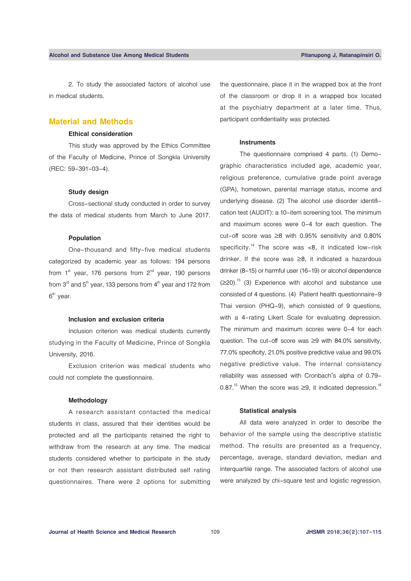2. To study the associated factors of alcohol use in medical students.

# **Material and Methods**

# **Ethical consideration**

This study was approved by the Ethics Committee of the Faculty of Medicine, Prince of Songkla University (REC: 59-391-03-4).

## **Study design**

Cross-sectional study conducted in order to survey the data of medical students from March to June 2017.

# **Population**

One-thousand and fifty-five medical students categorized by academic year as follows: 194 persons from  $1<sup>st</sup>$  year, 176 persons from  $2<sup>nd</sup>$  year, 190 persons from  $3<sup>rd</sup>$  and  $5<sup>th</sup>$  year, 133 persons from  $4<sup>th</sup>$  year and 172 from  $6<sup>th</sup>$  year.

#### **Inclusion and exclusion criteria**

Inclusion criterion was medical students currently studying in the Faculty of Medicine, Prince of Songkla University, 2016.

Exclusion criterion was medical students who could not complete the questionnaire.

#### **Methodology**

A research assistant contacted the medical students in class, assured that their identities would be protected and all the participants retained the right to withdraw from the research at any time. The medical students considered whether to participate in the study or not then research assistant distributed self rating questionnaires. There were 2 options for submitting

the questionnaire, place it in the wrapped box at the front of the classroom or drop it in a wrapped box located at the psychiatry department at a later time. Thus, participant confidentiality was protected.

#### **Instruments**

The questionnaire comprised 4 parts. (1) Demographic characteristics included age, academic year, religious preference, cumulative grade point average (GPA), hometown, parental marriage status, income and underlying disease. (2) The alcohol use disorder identification test (AUDIT): a 10-item screening tool. The minimum and maximum scores were 0-4 for each question. The cut-off score was ≥8 with 0.95% sensitivity and 0.80% specificity.<sup>14</sup> The score was  $<8$ , it indicated low-risk drinker. If the score was ≥8, it indicated a hazardous drinker (8-15) or harmful user (16-19) or alcohol dependence  $(\geq 20)$ .<sup>15</sup> (3) Experience with alcohol and substance use consisted of 4 questions. (4) Patient health questionnaire-9 Thai version (PHQ-9), which consisted of 9 questions, with a 4-rating Likert Scale for evaluating depression. The minimum and maximum scores were 0-4 for each question. The cut-off score was ≥9 with 84.0% sensitivity, 77.0% specificity, 21.0% positive predictive value and 99.0% negative predictive value. The internal consistency reliability was assessed with Cronbach's alpha of 0.79- 0.87.<sup>15</sup> When the score was  $\geq$ 9, it indicated depression.<sup>16</sup>

# **Statistical analysis**

All data were analyzed in order to describe the behavior of the sample using the descriptive statistic method. The results are presented as a frequency, percentage, average, standard deviation, median and interquartile range. The associated factors of alcohol use were analyzed by chi-square test and logistic regression.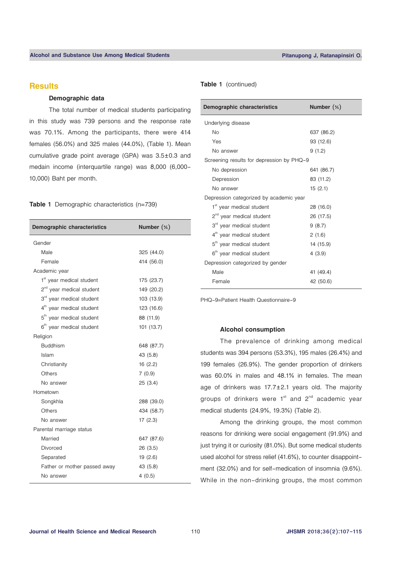# **Results**

#### **Demographic data**

The total number of medical students participating in this study was 739 persons and the response rate was 70.1%. Among the participants, there were 414 females (56.0%) and 325 males (44.0%), (Table 1). Mean cumulative grade point average (GPA) was 3.5±0.3 and medain income (interquartile range) was 8,000 (6,000- 10,000) Baht per month.

### **Table 1** Demographic characteristics (n=739)

| <b>Demographic characteristics</b>   | Number $(\%)$ |  |  |  |
|--------------------------------------|---------------|--|--|--|
| Gender                               |               |  |  |  |
| Male                                 | 325 (44.0)    |  |  |  |
| Female                               | 414 (56.0)    |  |  |  |
| Academic year                        |               |  |  |  |
| 1 <sup>st</sup> year medical student | 175 (23.7)    |  |  |  |
| 2 <sup>nd</sup> year medical student | 149 (20.2)    |  |  |  |
| 3rd year medical student             | 103 (13.9)    |  |  |  |
| 4 <sup>th</sup> year medical student | 123 (16.6)    |  |  |  |
| 5 <sup>th</sup> year medical student | 88 (11.9)     |  |  |  |
| 6 <sup>th</sup> year medical student | 101 (13.7)    |  |  |  |
| Religion                             |               |  |  |  |
| <b>Buddhism</b>                      | 648 (87.7)    |  |  |  |
| Islam                                | 43 (5.8)      |  |  |  |
| Christianity                         | 16(2.2)       |  |  |  |
| Others                               | 7(0.9)        |  |  |  |
| No answer                            | 25(3.4)       |  |  |  |
| Hometown                             |               |  |  |  |
| Songkhla                             | 288 (39.0)    |  |  |  |
| Others                               | 434 (58.7)    |  |  |  |
| No answer                            | 17(2.3)       |  |  |  |
| Parental marriage status             |               |  |  |  |
| Married                              | 647 (87.6)    |  |  |  |
| Divorced                             | 26(3.5)       |  |  |  |
| Separated                            | 19(2.6)       |  |  |  |
| Father or mother passed away         | 43 (5.8)      |  |  |  |
| No answer                            | 4(0.5)        |  |  |  |

#### **Table 1** (continued)

| <b>Demographic characteristics</b>        | Number $(\%)$ |
|-------------------------------------------|---------------|
| Underlying disease                        |               |
| No                                        | 637 (86.2)    |
| Yes                                       | 93 (12.6)     |
| No answer                                 | 9(1.2)        |
| Screening results for depression by PHQ-9 |               |
| No depression                             | 641 (86.7)    |
| Depression                                | 83 (11.2)     |
| No answer                                 | 15(2.1)       |
| Depression categorized by academic year   |               |
| 1 <sup>st</sup> year medical student      | 28 (16.0)     |
| 2 <sup>nd</sup> year medical student      | 26 (17.5)     |
| 3rd year medical student                  | 9(8.7)        |
| 4 <sup>th</sup> year medical student      | 2(1.6)        |
| 5 <sup>th</sup> year medical student      | 14 (15.9)     |
| 6 <sup>th</sup> year medical student      | 4(3.9)        |
| Depression categorized by gender          |               |
| Male                                      | 41 (49.4)     |
| Female                                    | 42 (50.6)     |
|                                           |               |

PHQ-9=Patient Health Questionnaire-9

# **Alcohol consumption**

The prevalence of drinking among medical students was 394 persons (53.3%), 195 males (26.4%) and 199 females (26.9%). The gender proportion of drinkers was 60.0% in males and 48.1% in females. The mean age of drinkers was 17.7±2.1 years old. The majority groups of drinkers were  $1<sup>st</sup>$  and  $2<sup>nd</sup>$  academic year medical students (24.9%, 19.3%) (Table 2).

 Among the drinking groups, the most common reasons for drinking were social engagement (91.9%) and just trying it or curiosity (81.0%). But some medical students used alcohol for stress relief (41.6%), to counter disappointment (32.0%) and for self-medication of insomnia (9.6%). While in the non-drinking groups, the most common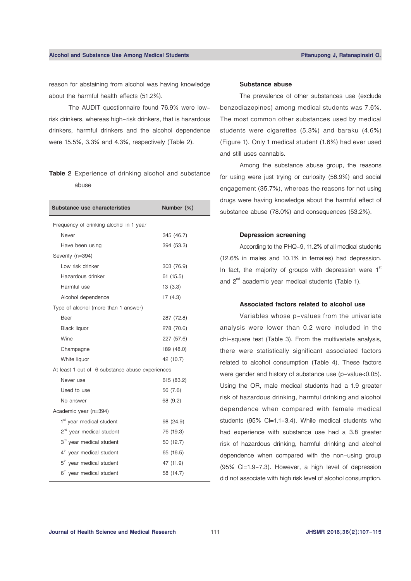reason for abstaining from alcohol was having knowledge about the harmful health effects (51.2%).

The AUDIT questionnaire found 76.9% were lowrisk drinkers, whereas high-risk drinkers, that is hazardous drinkers, harmful drinkers and the alcohol dependence were 15.5%, 3.3% and 4.3%, respectively (Table 2).

# **Table 2** Experience of drinking alcohol and substance abuse

| <b>Substance use characteristics</b>            | Number (%) |  |  |  |  |  |
|-------------------------------------------------|------------|--|--|--|--|--|
| Frequency of drinking alcohol in 1 year         |            |  |  |  |  |  |
| Never                                           | 345 (46.7) |  |  |  |  |  |
| Have been using                                 | 394 (53.3) |  |  |  |  |  |
| Severity (n=394)                                |            |  |  |  |  |  |
| Low risk drinker                                | 303 (76.9) |  |  |  |  |  |
| Hazardous drinker                               | 61 (15.5)  |  |  |  |  |  |
| Harmful use                                     | 13(3.3)    |  |  |  |  |  |
| Alcohol dependence                              | 17(4.3)    |  |  |  |  |  |
| Type of alcohol (more than 1 answer)            |            |  |  |  |  |  |
| Beer                                            | 287 (72.8) |  |  |  |  |  |
| <b>Black liquor</b>                             | 278 (70.6) |  |  |  |  |  |
| Wine                                            | 227 (57.6) |  |  |  |  |  |
| Champagne                                       | 189 (48.0) |  |  |  |  |  |
| White liquor                                    | 42 (10.7)  |  |  |  |  |  |
| At least 1 out of 6 substance abuse experiences |            |  |  |  |  |  |
| Never use                                       | 615 (83.2) |  |  |  |  |  |
| Used to use                                     | 56 (7.6)   |  |  |  |  |  |
| No answer                                       | 68 (9.2)   |  |  |  |  |  |
| Academic year (n=394)                           |            |  |  |  |  |  |
| 1 <sup>st</sup> year medical student            | 98 (24.9)  |  |  |  |  |  |
| 2 <sup>nd</sup> year medical student            | 76 (19.3)  |  |  |  |  |  |
| 3rd year medical student                        | 50 (12.7)  |  |  |  |  |  |
| 4 <sup>th</sup> year medical student            | 65 (16.5)  |  |  |  |  |  |
| 5 <sup>th</sup> year medical student            | 47 (11.9)  |  |  |  |  |  |
| 6 <sup>th</sup> year medical student            | 58 (14.7)  |  |  |  |  |  |

#### **Substance abuse**

The prevalence of other substances use (exclude benzodiazepines) among medical students was 7.6%. The most common other substances used by medical students were cigarettes (5.3%) and baraku (4.6%) (Figure 1). Only 1 medical student (1.6%) had ever used and still uses cannabis.

 Among the substance abuse group, the reasons for using were just trying or curiosity (58.9%) and social engagement (35.7%), whereas the reasons for not using drugs were having knowledge about the harmful effect of substance abuse (78.0%) and consequences (53.2%).

#### **Depression screening**

According to the PHQ-9, 11.2% of all medical students (12.6% in males and 10.1% in females) had depression. In fact, the majority of groups with depression were  $1<sup>st</sup>$ and  $2^{nd}$  academic year medical students (Table 1).

#### **Associated factors related to alcohol use**

Variables whose p-values from the univariate analysis were lower than 0.2 were included in the chi-square test (Table 3). From the multivariate analysis, there were statistically significant associated factors related to alcohol consumption (Table 4). These factors were gender and history of substance use (p-value<0.05). Using the OR, male medical students had a 1.9 greater risk of hazardous drinking, harmful drinking and alcohol dependence when compared with female medical students (95% CI=1.1-3.4). While medical students who had experience with substance use had a 3.8 greater risk of hazardous drinking, harmful drinking and alcohol dependence when compared with the non-using group (95% Cl=1.9-7.3). However, a high level of depression did not associate with high risk level of alcohol consumption.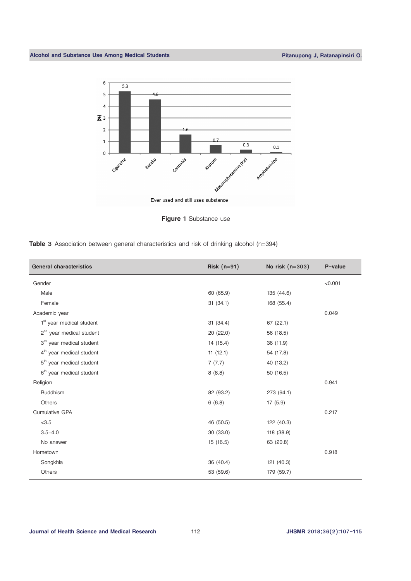

**Figure 1** Substance use

|  |  |  |  | Table 3 Association between general characteristics and risk of drinking alcohol (n=394) |  |  |  |  |  |  |
|--|--|--|--|------------------------------------------------------------------------------------------|--|--|--|--|--|--|
|--|--|--|--|------------------------------------------------------------------------------------------|--|--|--|--|--|--|

| <b>General characteristics</b>       | Risk $(n=91)$ | No risk (n=303) | P-value |
|--------------------------------------|---------------|-----------------|---------|
| Gender                               |               |                 | < 0.001 |
| Male                                 | 60 (65.9)     | 135 (44.6)      |         |
| Female                               | 31(34.1)      | 168 (55.4)      |         |
| Academic year                        |               |                 | 0.049   |
| $1st$ year medical student           | 31(34.4)      | 67(22.1)        |         |
| $2nd$ year medical student           | 20 (22.0)     | 56 (18.5)       |         |
| 3rd year medical student             | 14 (15.4)     | 36 (11.9)       |         |
| 4 <sup>th</sup> year medical student | 11(12.1)      | 54 (17.8)       |         |
| 5 <sup>th</sup> year medical student | 7(7.7)        | 40 (13.2)       |         |
| 6 <sup>th</sup> year medical student | 8(8.8)        | 50 (16.5)       |         |
| Religion                             |               |                 | 0.941   |
| <b>Buddhism</b>                      | 82 (93.2)     | 273 (94.1)      |         |
| Others                               | 6(6.8)        | 17(5.9)         |         |
| <b>Cumulative GPA</b>                |               |                 | 0.217   |
| < 3.5                                | 46 (50.5)     | 122 (40.3)      |         |
| $3.5 - 4.0$                          | 30 (33.0)     | 118 (38.9)      |         |
| No answer                            | 15(16.5)      | 63 (20.8)       |         |
| Hometown                             |               |                 | 0.918   |
| Songkhla                             | 36 (40.4)     | 121 (40.3)      |         |
| Others                               | 53 (59.6)     | 179 (59.7)      |         |
|                                      |               |                 |         |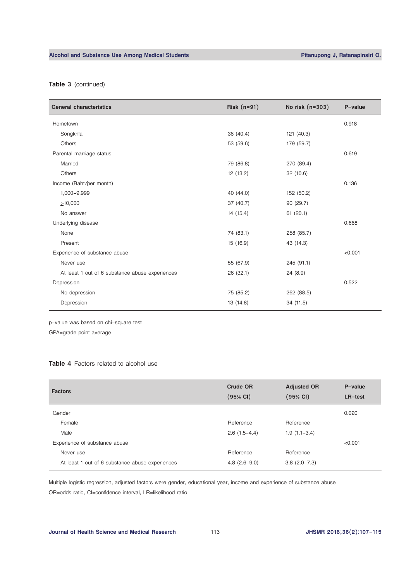# **Alcohol and Substance Use Among Medical Students Pitanupong J, Ratanapinsiri O.**

# **Table 3** (continued)

| <b>General characteristics</b>                  | Risk $(n=91)$ | No risk (n=303) | P-value |
|-------------------------------------------------|---------------|-----------------|---------|
| Hometown                                        |               |                 | 0.918   |
| Songkhla                                        | 36 (40.4)     | 121 (40.3)      |         |
| Others                                          | 53 (59.6)     | 179 (59.7)      |         |
| Parental marriage status                        |               |                 | 0.619   |
| Married                                         | 79 (86.8)     | 270 (89.4)      |         |
| Others                                          | 12 (13.2)     | 32(10.6)        |         |
| Income (Baht/per month)                         |               |                 | 0.136   |
| 1,000-9,999                                     | 40 (44.0)     | 152 (50.2)      |         |
| $\geq 10,000$                                   | 37 (40.7)     | 90 (29.7)       |         |
| No answer                                       | 14 (15.4)     | 61(20.1)        |         |
| Underlying disease                              |               |                 | 0.668   |
| None                                            | 74 (83.1)     | 258 (85.7)      |         |
| Present                                         | 15 (16.9)     | 43 (14.3)       |         |
| Experience of substance abuse                   |               |                 | < 0.001 |
| Never use                                       | 55 (67.9)     | 245 (91.1)      |         |
| At least 1 out of 6 substance abuse experiences | 26 (32.1)     | 24(8.9)         |         |
| Depression                                      |               |                 | 0.522   |
| No depression                                   | 75 (85.2)     | 262 (88.5)      |         |
| Depression                                      | 13 (14.8)     | 34 (11.5)       |         |

p-value was based on chi-square test

GPA=grade point average

## **Table 4** Factors related to alcohol use

| <b>Factors</b>                                  | <b>Crude OR</b><br>(95% CI) | <b>Adjusted OR</b><br>(95% Cl) | P-value<br>LR-test |
|-------------------------------------------------|-----------------------------|--------------------------------|--------------------|
| Gender                                          |                             |                                | 0.020              |
| Female                                          | Reference                   | Reference                      |                    |
| Male                                            | $2.6(1.5-4.4)$              | $1.9(1.1-3.4)$                 |                    |
| Experience of substance abuse                   |                             |                                | < 0.001            |
| Never use                                       | Reference                   | Reference                      |                    |
| At least 1 out of 6 substance abuse experiences | $4.8(2.6-9.0)$              | $3.8(2.0 - 7.3)$               |                    |

Multiple logistic regression, adjusted factors were gender, educational year, income and experience of substance abuse OR=odds ratio, CI=confidence interval, LR=likelihood ratio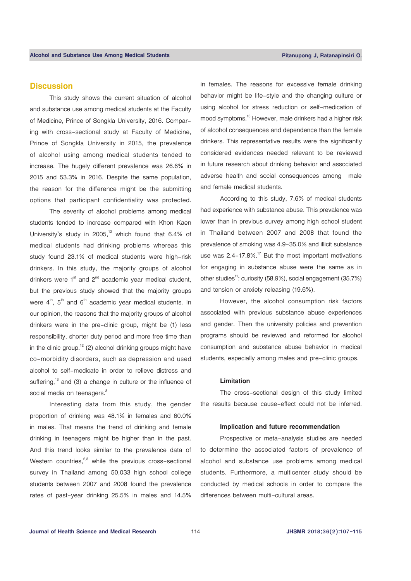# **Discussion**

This study shows the current situation of alcohol and substance use among medical students at the Faculty of Medicine, Prince of Songkla University, 2016. Comparing with cross-sectional study at Faculty of Medicine, Prince of Songkla University in 2015, the prevalence of alcohol using among medical students tended to increase. The hugely different prevalence was 26.6% in 2015 and 53.3% in 2016. Despite the same population, the reason for the difference might be the submitting options that participant confidentiality was protected.

The severity of alcohol problems among medical students tended to increase compared with Khon Kaen University's study in 2005,<sup>12</sup> which found that  $6.4\%$  of medical students had drinking problems whereas this study found 23.1% of medical students were high-risk drinkers. In this study, the majority groups of alcohol drinkers were  $1<sup>st</sup>$  and  $2<sup>nd</sup>$  academic year medical student, but the previous study showed that the majority groups were  $4<sup>th</sup>$ ,  $5<sup>th</sup>$  and  $6<sup>th</sup>$  academic year medical students. In our opinion, the reasons that the majority groups of alcohol drinkers were in the pre-clinic group, might be (1) less responsibility, shorter duty period and more free time than in the clinic group.<sup>12</sup> (2) alcohol drinking groups might have co-morbidity disorders, such as depression and used alcohol to self-medicate in order to relieve distress and suffering, $13$  and (3) a change in culture or the influence of social media on teenagers. $^3$ 

Interesting data from this study, the gender proportion of drinking was 48.1% in females and 60.0% in males. That means the trend of drinking and female drinking in teenagers might be higher than in the past. And this trend looks similar to the prevalence data of Western countries, $2,3$  while the previous cross-sectional survey in Thailand among 50,033 high school college students between 2007 and 2008 found the prevalence rates of past-year drinking 25.5% in males and 14.5%

in females. The reasons for excessive female drinking behavior might be life-style and the changing culture or using alcohol for stress reduction or self-medication of mood symptoms.<sup>13</sup> However, male drinkers had a higher risk of alcohol consequences and dependence than the female drinkers. This representative results were the significantly considered evidences needed relevant to be reviewed in future research about drinking behavior and associated adverse health and social consequences among male and female medical students.

According to this study, 7.6% of medical students had experience with substance abuse. This prevalence was lower than in previous survey among high school student in Thailand between 2007 and 2008 that found the prevalence of smoking was 4.9-35.0% and illicit substance use was  $2.4 - 17.8\%$ .<sup>17</sup> But the most important motivations for engaging in substance abuse were the same as in other studies<sup>11</sup>: curiosity (58.9%), social engagement (35.7%) and tension or anxiety releasing (19.6%).

However, the alcohol consumption risk factors associated with previous substance abuse experiences and gender. Then the university policies and prevention programs should be reviewed and reformed for alcohol consumption and substance abuse behavior in medical students, especially among males and pre-clinic groups.

# **Limitation**

The cross-sectional design of this study limited the results because cause-effect could not be inferred.

## **Implication and future recommendation**

Prospective or meta-analysis studies are needed to determine the associated factors of prevalence of alcohol and substance use problems among medical students. Furthermore, a multicenter study should be conducted by medical schools in order to compare the differences between multi-cultural areas.